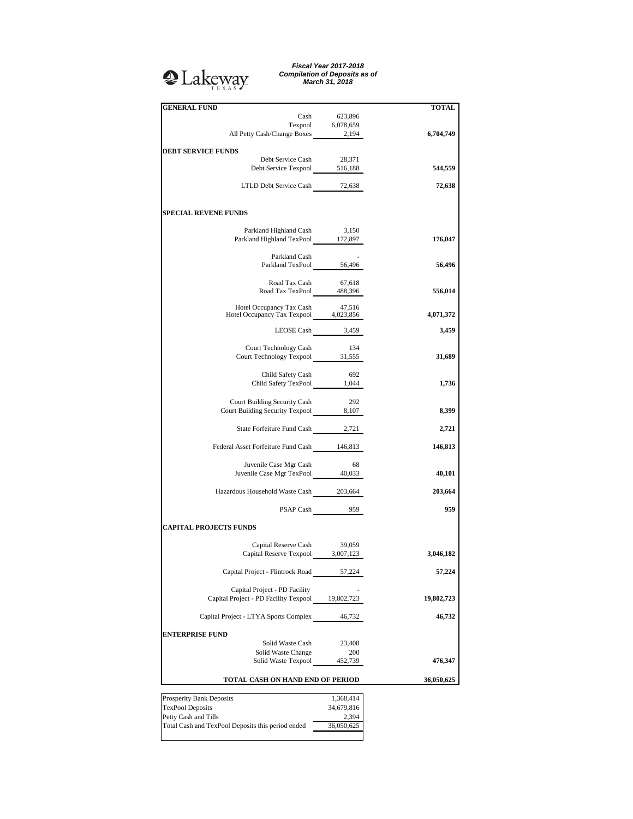## **Q**Lakeway

*Fiscal Year 2017-2018 Compilation of Deposits as of March 31, 2018*

| <b>GENERAL FUND</b>                                                      |                     | <b>TOTAL</b> |
|--------------------------------------------------------------------------|---------------------|--------------|
| Cash                                                                     | 623,896             |              |
| Texpool 6,078,659<br>All Petty Cash/Change Boxes 2,194                   |                     | 6,704,749    |
|                                                                          |                     |              |
| <b>DEBT SERVICE FUNDS</b>                                                |                     |              |
| Debt Service Cash                                                        | 28,371              |              |
| Debt Service Texpool 516,188                                             |                     | 544,559      |
|                                                                          |                     |              |
| LTLD Debt Service Cash 72,638                                            |                     | 72,638       |
|                                                                          |                     |              |
| <b>SPECIAL REVENE FUNDS</b>                                              |                     |              |
| Parkland Highland Cash                                                   | 3,150               |              |
| Parkland Highland TexPool 172,897                                        |                     | 176,047      |
|                                                                          |                     |              |
|                                                                          |                     |              |
| Parkland Cash<br>Parkland TexPool 56,496                                 |                     | 56,496       |
|                                                                          |                     |              |
| Road Tax Cash 67,618<br>Road Tax TexPool 488,396                         |                     |              |
|                                                                          |                     | 556,014      |
|                                                                          |                     |              |
| Hotel Occupancy Tax Cash 47,516<br>Hotel Occupancy Tax Texpool 4,023,856 |                     |              |
|                                                                          |                     | 4,071,372    |
|                                                                          | LEOSE Cash 3,459    | 3,459        |
|                                                                          |                     |              |
| Court Technology Cash                                                    | 134                 |              |
| Court Technology Texpool 31,555                                          |                     | 31,689       |
|                                                                          |                     |              |
| Child Safety Cash                                                        | 692                 |              |
| Child Safety Cash 692<br>Child Safety TexPool 1,044                      |                     | 1,736        |
|                                                                          |                     |              |
| Court Building Security Cash                                             | - 292               |              |
| Court Building Security Texpool 8,107                                    |                     | 8,399        |
|                                                                          |                     |              |
| State Forfeiture Fund Cash 2,721                                         |                     | 2,721        |
|                                                                          |                     |              |
| Federal Asset Forfeiture Fund Cash 146,813                               |                     | 146,813      |
|                                                                          |                     |              |
| Juvenile Case Mgr Cash<br>Juvenile Case Mgr TexPool 40,033               | - 68                |              |
|                                                                          |                     | 40,101       |
|                                                                          |                     |              |
| Hazardous Household Waste Cash 203,664                                   |                     | 203,664      |
|                                                                          | PSAP Cash $959$     | 959          |
|                                                                          |                     |              |
| <b>CAPITAL PROJECTS FUNDS</b>                                            |                     |              |
|                                                                          |                     |              |
| Capital Reserve Cash                                                     | 39,059              |              |
| Capital Reserve Texpool 3,007,123                                        |                     | 3,046,182    |
|                                                                          |                     |              |
| Capital Project - Flintrock Road                                         | 57,224              | 57,224       |
|                                                                          |                     |              |
| Capital Project - PD Facility                                            |                     |              |
| Capital Project - PD Facility Texpool 19,802,723                         |                     | 19,802,723   |
|                                                                          |                     |              |
| Capital Project - LTYA Sports Complex                                    | 46,732              | 46,732       |
|                                                                          |                     |              |
| <b>ENTERPRISE FUND</b>                                                   |                     |              |
| Solid Waste Cash                                                         | 23,408              |              |
| Solid Waste Change                                                       | 200                 |              |
| Solid Waste Texpool                                                      | 452,739             | 476,347      |
|                                                                          |                     |              |
| TOTAL CASH ON HAND END OF PERIOD                                         |                     | 36,050,625   |
|                                                                          |                     |              |
| Prosperity Bank Deposits                                                 | 1,368,414           |              |
| TexPool Deposits<br>Petty Cash and Tills                                 | 34,679,816<br>2,394 |              |
| Total Cash and TexPool Deposits this period ended                        | 36,050,625          |              |
|                                                                          |                     |              |